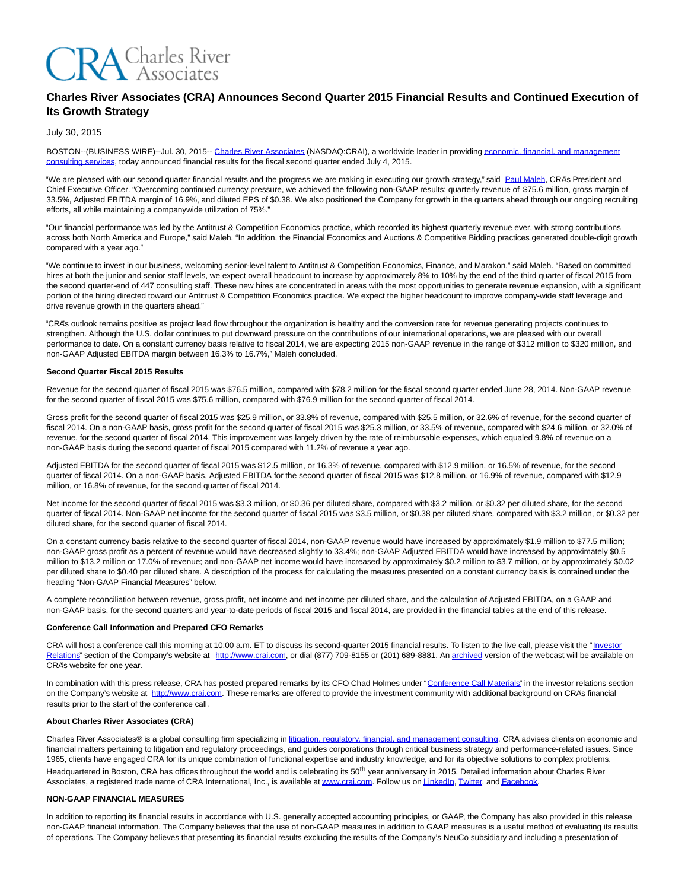

# **Charles River Associates (CRA) Announces Second Quarter 2015 Financial Results and Continued Execution of Its Growth Strategy**

# July 30, 2015

BOSTON--(BUSINESS WIRE)--Jul. 30, 2015-[- Charles River Associates \(](http://cts.businesswire.com/ct/CT?id=smartlink&url=http%3A%2F%2Fwww.crai.com%2FDefault.aspx&esheet=51152735&newsitemid=20150730005757&lan=en-US&anchor=Charles+River+Associates&index=1&md5=19be0f58e9a59524c4ebc9cc67468f8e)NASDAQ:CRAI), a worldwide leader in providin[g economic, financial, and management](http://cts.businesswire.com/ct/CT?id=smartlink&url=http%3A%2F%2Fwww.crai.com%2FConsultingExpertise%2FDefaultCustom.aspx&esheet=51152735&newsitemid=20150730005757&lan=en-US&anchor=economic%2C+financial%2C+and+management+consulting+services&index=2&md5=65224fc556498ec73bb1ebebfe0684f3) consulting services, today announced financial results for the fiscal second quarter ended July 4, 2015.

"We are pleased with our second quarter financial results and the progress we are making in executing our growth strategy," said [Paul Maleh,](http://cts.businesswire.com/ct/CT?id=smartlink&url=http%3A%2F%2Fwww.crai.com%2Fexpert%2Fpaul-maleh&esheet=51152735&newsitemid=20150730005757&lan=en-US&anchor=Paul+Maleh&index=3&md5=99eba72ea0c30af5cb34d4dcbecb6e48) CRA's President and Chief Executive Officer. "Overcoming continued currency pressure, we achieved the following non-GAAP results: quarterly revenue of \$75.6 million, gross margin of 33.5%, Adjusted EBITDA margin of 16.9%, and diluted EPS of \$0.38. We also positioned the Company for growth in the quarters ahead through our ongoing recruiting efforts, all while maintaining a companywide utilization of 75%."

"Our financial performance was led by the Antitrust & Competition Economics practice, which recorded its highest quarterly revenue ever, with strong contributions across both North America and Europe," said Maleh. "In addition, the Financial Economics and Auctions & Competitive Bidding practices generated double-digit growth compared with a year ago."

"We continue to invest in our business, welcoming senior-level talent to Antitrust & Competition Economics, Finance, and Marakon," said Maleh. "Based on committed hires at both the junior and senior staff levels, we expect overall headcount to increase by approximately 8% to 10% by the end of the third quarter of fiscal 2015 from the second quarter-end of 447 consulting staff. These new hires are concentrated in areas with the most opportunities to generate revenue expansion, with a significant portion of the hiring directed toward our Antitrust & Competition Economics practice. We expect the higher headcount to improve company-wide staff leverage and drive revenue growth in the quarters ahead."

"CRA's outlook remains positive as project lead flow throughout the organization is healthy and the conversion rate for revenue generating projects continues to strengthen. Although the U.S. dollar continues to put downward pressure on the contributions of our international operations, we are pleased with our overall performance to date. On a constant currency basis relative to fiscal 2014, we are expecting 2015 non-GAAP revenue in the range of \$312 million to \$320 million, and non-GAAP Adjusted EBITDA margin between 16.3% to 16.7%," Maleh concluded.

#### **Second Quarter Fiscal 2015 Results**

Revenue for the second quarter of fiscal 2015 was \$76.5 million, compared with \$78.2 million for the fiscal second quarter ended June 28, 2014. Non-GAAP revenue for the second quarter of fiscal 2015 was \$75.6 million, compared with \$76.9 million for the second quarter of fiscal 2014.

Gross profit for the second quarter of fiscal 2015 was \$25.9 million, or 33.8% of revenue, compared with \$25.5 million, or 32.6% of revenue, for the second quarter of fiscal 2014. On a non-GAAP basis, gross profit for the second quarter of fiscal 2015 was \$25.3 million, or 33.5% of revenue, compared with \$24.6 million, or 32.0% of revenue, for the second quarter of fiscal 2014. This improvement was largely driven by the rate of reimbursable expenses, which equaled 9.8% of revenue on a non-GAAP basis during the second quarter of fiscal 2015 compared with 11.2% of revenue a year ago.

Adjusted EBITDA for the second quarter of fiscal 2015 was \$12.5 million, or 16.3% of revenue, compared with \$12.9 million, or 16.5% of revenue, for the second quarter of fiscal 2014. On a non-GAAP basis, Adjusted EBITDA for the second quarter of fiscal 2015 was \$12.8 million, or 16.9% of revenue, compared with \$12.9 million, or 16.8% of revenue, for the second quarter of fiscal 2014.

Net income for the second quarter of fiscal 2015 was \$3.3 million, or \$0.36 per diluted share, compared with \$3.2 million, or \$0.32 per diluted share, for the second quarter of fiscal 2014. Non-GAAP net income for the second quarter of fiscal 2015 was \$3.5 million, or \$0.38 per diluted share, compared with \$3.2 million, or \$0.32 per diluted share, for the second quarter of fiscal 2014.

On a constant currency basis relative to the second quarter of fiscal 2014, non-GAAP revenue would have increased by approximately \$1.9 million to \$77.5 million; non-GAAP gross profit as a percent of revenue would have decreased slightly to 33.4%; non-GAAP Adjusted EBITDA would have increased by approximately \$0.5 million to \$13.2 million or 17.0% of revenue; and non-GAAP net income would have increased by approximately \$0.2 million to \$3.7 million, or by approximately \$0.02 per diluted share to \$0.40 per diluted share. A description of the process for calculating the measures presented on a constant currency basis is contained under the heading "Non-GAAP Financial Measures" below.

A complete reconciliation between revenue, gross profit, net income and net income per diluted share, and the calculation of Adjusted EBITDA, on a GAAP and non-GAAP basis, for the second quarters and year-to-date periods of fiscal 2015 and fiscal 2014, are provided in the financial tables at the end of this release.

#### **Conference Call Information and Prepared CFO Remarks**

CRA will host a conference call this morning at 10:00 a.m. ET to discuss its second-quarter 2015 financial results. To listen to the live call, please visit the ["Investor](http://cts.businesswire.com/ct/CT?id=smartlink&url=http%3A%2F%2Fphx.corporate-ir.net%2Fphoenix.zhtml%3Fc%3D97435%26p%3Dirol-IRHome&esheet=51152735&newsitemid=20150730005757&lan=en-US&anchor=Investor+Relations&index=4&md5=18f6f0963fd0f794820fbcaa174b62ff) Relations" section of the Company's website at [http://www.crai.com,](http://cts.businesswire.com/ct/CT?id=smartlink&url=http%3A%2F%2Fwww.crai.com%2FDefault.aspx&esheet=51152735&newsitemid=20150730005757&lan=en-US&anchor=http%3A%2F%2Fwww.crai.com&index=5&md5=71243d74c89d74e5ed9cffe9c8026a6c) or dial (877) 709-8155 or (201) 689-8881. A[n archived v](http://cts.businesswire.com/ct/CT?id=smartlink&url=http%3A%2F%2Fphx.corporate-ir.net%2Fphoenix.zhtml%3Fc%3D97435%26p%3Dirol-audioarchives&esheet=51152735&newsitemid=20150730005757&lan=en-US&anchor=archived&index=6&md5=44d0c5284fefffff3700ac3d2b960913)ersion of the webcast will be available on CRA's website for one year.

In combination with this press release, CRA has posted prepared remarks by its CFO Chad Holmes under ["Conference Call Materials"](http://cts.businesswire.com/ct/CT?id=smartlink&url=http%3A%2F%2Fphx.corporate-ir.net%2Fphoenix.zhtml%3Fc%3D97435%26p%3Dirol-presentations&esheet=51152735&newsitemid=20150730005757&lan=en-US&anchor=Conference+Call+Materials&index=7&md5=b0021c53bd75b2f1d7b5c38390245edb) in the investor relations section on the Company's website at [http://www.crai.com.](http://cts.businesswire.com/ct/CT?id=smartlink&url=http%3A%2F%2Fwww.crai.com%2FDefault.aspx&esheet=51152735&newsitemid=20150730005757&lan=en-US&anchor=http%3A%2F%2Fwww.crai.com&index=8&md5=a44b22e5663e40baa4c9c2a32dafb2a7) These remarks are offered to provide the investment community with additional background on CRA's financial results prior to the start of the conference call.

### **About Charles River Associates (CRA)**

Charles River Associates® is a global consulting firm specializing i[n litigation, regulatory, financial, and management consulting.](http://cts.businesswire.com/ct/CT?id=smartlink&url=http%3A%2F%2Fwww.crai.com%2F&esheet=51152735&newsitemid=20150730005757&lan=en-US&anchor=litigation%2C+regulatory%2C+financial%2C+and+management+consulting&index=9&md5=a9be2f94be784d1eaba3a9b7ca5cbbe3) CRA advises clients on economic and financial matters pertaining to litigation and regulatory proceedings, and guides corporations through critical business strategy and performance-related issues. Since 1965, clients have engaged CRA for its unique combination of functional expertise and industry knowledge, and for its objective solutions to complex problems. Headquartered in Boston, CRA has offices throughout the world and is celebrating its 50<sup>th</sup> year anniversary in 2015. Detailed information about Charles River Associates, a registered trade name of CRA International, Inc., is available a[t www.crai.com.](http://cts.businesswire.com/ct/CT?id=smartlink&url=http%3A%2F%2Fwww.crai.com&esheet=51152735&newsitemid=20150730005757&lan=en-US&anchor=www.crai.com&index=10&md5=a727ac2487e8b0f4d7acf3e855e16379) Follow us o[n LinkedIn,](http://cts.businesswire.com/ct/CT?id=smartlink&url=https%3A%2F%2Fwww.linkedin.com%2Fcompany%2Fcharles-river-associates&esheet=51152735&newsitemid=20150730005757&lan=en-US&anchor=LinkedIn&index=11&md5=9f8c6fb53664cf0087838969dfadbd00) [Twitter,](http://cts.businesswire.com/ct/CT?id=smartlink&url=https%3A%2F%2Ftwitter.com%2FNews_CRA&esheet=51152735&newsitemid=20150730005757&lan=en-US&anchor=Twitter&index=12&md5=91989220eaf82b660c3e6e8364c1fbd1) and Facebook

#### **NON-GAAP FINANCIAL MEASURES**

In addition to reporting its financial results in accordance with U.S. generally accepted accounting principles, or GAAP, the Company has also provided in this release non-GAAP financial information. The Company believes that the use of non-GAAP measures in addition to GAAP measures is a useful method of evaluating its results of operations. The Company believes that presenting its financial results excluding the results of the Company's NeuCo subsidiary and including a presentation of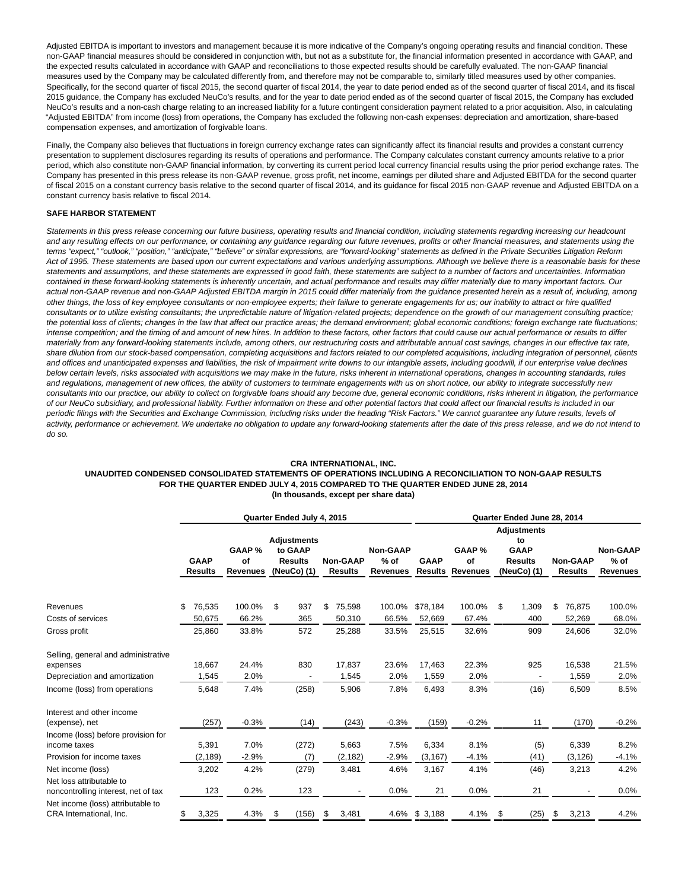Adjusted EBITDA is important to investors and management because it is more indicative of the Company's ongoing operating results and financial condition. These non-GAAP financial measures should be considered in conjunction with, but not as a substitute for, the financial information presented in accordance with GAAP, and the expected results calculated in accordance with GAAP and reconciliations to those expected results should be carefully evaluated. The non-GAAP financial measures used by the Company may be calculated differently from, and therefore may not be comparable to, similarly titled measures used by other companies. Specifically, for the second quarter of fiscal 2015, the second quarter of fiscal 2014, the year to date period ended as of the second quarter of fiscal 2014, and its fiscal 2015 guidance, the Company has excluded NeuCo's results, and for the year to date period ended as of the second quarter of fiscal 2015, the Company has excluded NeuCo's results and a non-cash charge relating to an increased liability for a future contingent consideration payment related to a prior acquisition. Also, in calculating "Adjusted EBITDA" from income (loss) from operations, the Company has excluded the following non-cash expenses: depreciation and amortization, share-based compensation expenses, and amortization of forgivable loans.

Finally, the Company also believes that fluctuations in foreign currency exchange rates can significantly affect its financial results and provides a constant currency presentation to supplement disclosures regarding its results of operations and performance. The Company calculates constant currency amounts relative to a prior period, which also constitute non-GAAP financial information, by converting its current period local currency financial results using the prior period exchange rates. The Company has presented in this press release its non-GAAP revenue, gross profit, net income, earnings per diluted share and Adjusted EBITDA for the second quarter of fiscal 2015 on a constant currency basis relative to the second quarter of fiscal 2014, and its guidance for fiscal 2015 non-GAAP revenue and Adjusted EBITDA on a constant currency basis relative to fiscal 2014.

# **SAFE HARBOR STATEMENT**

Statements in this press release concerning our future business, operating results and financial condition, including statements regarding increasing our headcount and any resulting effects on our performance, or containing any guidance regarding our future revenues, profits or other financial measures, and statements using the terms "expect," "outlook," "position," "anticipate," "believe" or similar expressions, are "forward-looking" statements as defined in the Private Securities Litigation Reform Act of 1995. These statements are based upon our current expectations and various underlying assumptions. Although we believe there is a reasonable basis for these statements and assumptions, and these statements are expressed in good faith, these statements are subject to a number of factors and uncertainties. Information contained in these forward-looking statements is inherently uncertain, and actual performance and results may differ materially due to many important factors. Our actual non-GAAP revenue and non-GAAP Adjusted EBITDA margin in 2015 could differ materially from the guidance presented herein as a result of, including, among other things, the loss of key employee consultants or non-employee experts; their failure to generate engagements for us; our inability to attract or hire qualified consultants or to utilize existing consultants; the unpredictable nature of litigation-related projects; dependence on the growth of our management consulting practice; the potential loss of clients; changes in the law that affect our practice areas; the demand environment; global economic conditions; foreign exchange rate fluctuations; intense competition; and the timing of and amount of new hires. In addition to these factors, other factors that could cause our actual performance or results to differ materially from any forward-looking statements include, among others, our restructuring costs and attributable annual cost savings, changes in our effective tax rate, share dilution from our stock-based compensation, completing acquisitions and factors related to our completed acquisitions, including integration of personnel, clients and offices and unanticipated expenses and liabilities, the risk of impairment write downs to our intangible assets, including goodwill, if our enterprise value declines below certain levels, risks associated with acquisitions we may make in the future, risks inherent in international operations, changes in accounting standards, rules and regulations, management of new offices, the ability of customers to terminate engagements with us on short notice, our ability to integrate successfully new consultants into our practice, our ability to collect on forgivable loans should any become due, general economic conditions, risks inherent in litigation, the performance of our NeuCo subsidiary, and professional liability. Further information on these and other potential factors that could affect our financial results is included in our periodic filings with the Securities and Exchange Commission, including risks under the heading "Risk Factors." We cannot guarantee any future results, levels of activity, performance or achievement. We undertake no obligation to update any forward-looking statements after the date of this press release, and we do not intend to do so.

# **CRA INTERNATIONAL, INC.**

### **UNAUDITED CONDENSED CONSOLIDATED STATEMENTS OF OPERATIONS INCLUDING A RECONCILIATION TO NON-GAAP RESULTS FOR THE QUARTER ENDED JULY 4, 2015 COMPARED TO THE QUARTER ENDED JUNE 28, 2014 (In thousands, except per share data)**

|                                                                                  |                               |                                 | Quarter Ended July 4, 2015                                     |                                   | Quarter Ended June 28, 2014    |                               |                                 |                                                                          |                                   |                                       |  |  |
|----------------------------------------------------------------------------------|-------------------------------|---------------------------------|----------------------------------------------------------------|-----------------------------------|--------------------------------|-------------------------------|---------------------------------|--------------------------------------------------------------------------|-----------------------------------|---------------------------------------|--|--|
|                                                                                  | <b>GAAP</b><br><b>Results</b> | GAAP %<br>of<br><b>Revenues</b> | <b>Adjustments</b><br>to GAAP<br><b>Results</b><br>(NeuCo) (1) | <b>Non-GAAP</b><br><b>Results</b> | Non-GAAP<br>$%$ of<br>Revenues | <b>GAAP</b><br><b>Results</b> | GAAP %<br>of<br><b>Revenues</b> | <b>Adjustments</b><br>to<br><b>GAAP</b><br><b>Results</b><br>(NeuCo) (1) | <b>Non-GAAP</b><br><b>Results</b> | Non-GAAP<br>$%$ of<br><b>Revenues</b> |  |  |
| Revenues                                                                         | 76,535<br>\$                  | 100.0%                          | - \$<br>937                                                    | \$<br>75,598                      | 100.0%                         | \$78,184                      | 100.0%                          | \$<br>1,309                                                              | \$<br>76,875                      | 100.0%                                |  |  |
| Costs of services                                                                | 50,675                        | 66.2%                           | 365                                                            | 50,310                            | 66.5%                          | 52,669                        | 67.4%                           | 400                                                                      | 52,269                            | 68.0%                                 |  |  |
| Gross profit                                                                     | 25,860                        | 33.8%                           | 572                                                            | 25,288                            | 33.5%                          | 25,515                        | 32.6%                           | 909                                                                      | 24,606                            | 32.0%                                 |  |  |
| Selling, general and administrative<br>expenses<br>Depreciation and amortization | 18,667<br>1,545               | 24.4%<br>2.0%                   | 830                                                            | 17,837<br>1,545                   | 23.6%<br>2.0%                  | 17,463<br>1,559               | 22.3%<br>2.0%                   | 925                                                                      | 16,538<br>1,559                   | 21.5%<br>2.0%                         |  |  |
| Income (loss) from operations                                                    | 5,648                         | 7.4%                            | (258)                                                          | 5,906                             | 7.8%                           | 6,493                         | 8.3%                            | (16)                                                                     | 6,509                             | 8.5%                                  |  |  |
| Interest and other income<br>(expense), net                                      | (257)                         | $-0.3%$                         | (14)                                                           | (243)                             | $-0.3%$                        | (159)                         | $-0.2%$                         | 11                                                                       | (170)                             | $-0.2%$                               |  |  |
| Income (loss) before provision for<br>income taxes<br>Provision for income taxes | 5,391<br>(2, 189)             | 7.0%<br>$-2.9%$                 | (272)<br>(7)                                                   | 5,663<br>(2, 182)                 | 7.5%<br>$-2.9%$                | 6,334<br>(3, 167)             | 8.1%<br>$-4.1%$                 | (5)<br>(41)                                                              | 6,339<br>(3, 126)                 | 8.2%<br>$-4.1%$                       |  |  |
| Net income (loss)<br>Net loss attributable to                                    | 3,202                         | 4.2%                            | (279)                                                          | 3,481                             | 4.6%                           | 3,167                         | 4.1%                            | (46)                                                                     | 3,213                             | 4.2%                                  |  |  |
| noncontrolling interest, net of tax                                              | 123                           | 0.2%                            | 123                                                            |                                   | 0.0%                           | 21                            | 0.0%                            | 21                                                                       |                                   | 0.0%                                  |  |  |
| Net income (loss) attributable to<br>CRA International, Inc.                     | 3,325<br>S.                   | 4.3%                            | (156)<br>\$                                                    | 3,481<br>\$                       |                                | 4.6% \$3,188                  | 4.1%                            | (25)<br>\$                                                               | \$<br>3,213                       | 4.2%                                  |  |  |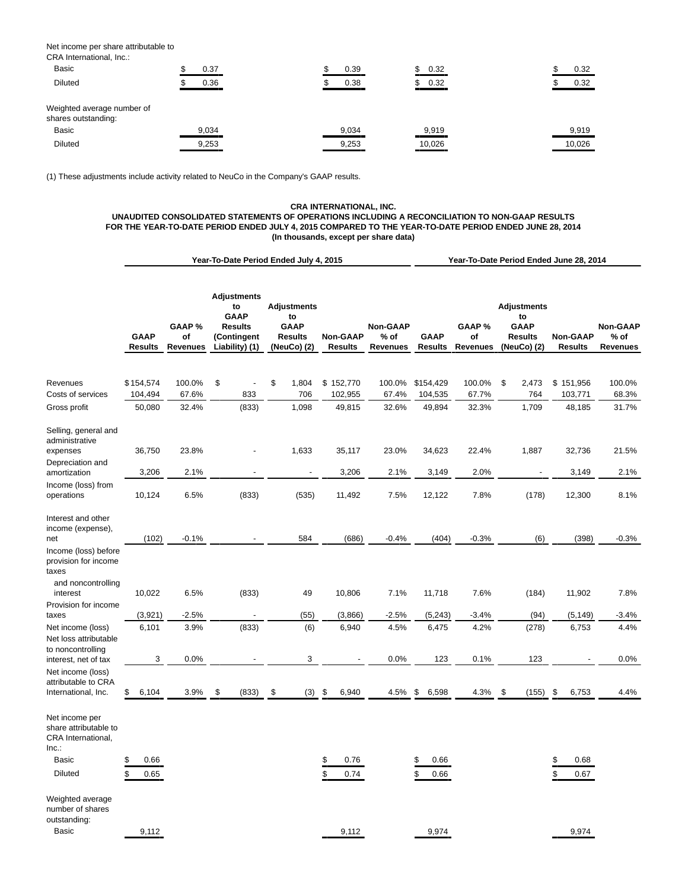Net income per share attributable to CRA International, Inc.:

| UNA INGHIANUHAI, ING.                             |       |       |             |        |
|---------------------------------------------------|-------|-------|-------------|--------|
| <b>Basic</b>                                      | 0.37  | 0.39  | \$<br>0.32  | 0.32   |
| <b>Diluted</b>                                    | 0.36  | 0.38  | 0.32<br>\$. | 0.32   |
| Weighted average number of<br>shares outstanding: |       |       |             |        |
| <b>Basic</b>                                      | 9,034 | 9,034 | 9,919       | 9,919  |
| <b>Diluted</b>                                    | 9,253 | 9,253 | 10,026      | 10,026 |
|                                                   |       |       |             |        |

(1) These adjustments include activity related to NeuCo in the Company's GAAP results.

# **CRA INTERNATIONAL, INC. UNAUDITED CONSOLIDATED STATEMENTS OF OPERATIONS INCLUDING A RECONCILIATION TO NON-GAAP RESULTS FOR THE YEAR-TO-DATE PERIOD ENDED JULY 4, 2015 COMPARED TO THE YEAR-TO-DATE PERIOD ENDED JUNE 28, 2014 (In thousands, except per share data)**

|                                                                                                                            |                                |                                | Year-To-Date Period Ended July 4, 2015                                                     |                                                                          | Year-To-Date Period Ended June 28, 2014 |                                     |                                |                                |                                                                          |                                   |                                              |
|----------------------------------------------------------------------------------------------------------------------------|--------------------------------|--------------------------------|--------------------------------------------------------------------------------------------|--------------------------------------------------------------------------|-----------------------------------------|-------------------------------------|--------------------------------|--------------------------------|--------------------------------------------------------------------------|-----------------------------------|----------------------------------------------|
|                                                                                                                            | <b>GAAP</b><br><b>Results</b>  | GAAP%<br>of<br><b>Revenues</b> | <b>Adjustments</b><br>to<br><b>GAAP</b><br><b>Results</b><br>(Contingent<br>Liability) (1) | <b>Adjustments</b><br>to<br><b>GAAP</b><br><b>Results</b><br>(NeuCo) (2) | <b>Non-GAAP</b><br><b>Results</b>       | Non-GAAP<br>% of<br><b>Revenues</b> | <b>GAAP</b><br><b>Results</b>  | GAAP%<br>of<br><b>Revenues</b> | <b>Adjustments</b><br>to<br><b>GAAP</b><br><b>Results</b><br>(NeuCo) (2) | <b>Non-GAAP</b><br><b>Results</b> | <b>Non-GAAP</b><br>$%$ of<br><b>Revenues</b> |
| Revenues<br>Costs of services<br>Gross profit                                                                              | \$154,574<br>104,494<br>50,080 | 100.0%<br>67.6%<br>32.4%       | \$<br>÷,<br>833<br>(833)                                                                   | \$<br>1,804<br>706<br>1,098                                              | \$152,770<br>102,955<br>49,815          | 100.0%<br>67.4%<br>32.6%            | \$154,429<br>104,535<br>49,894 | 100.0%<br>67.7%<br>32.3%       | \$<br>2,473<br>764<br>1,709                                              | \$151,956<br>103,771<br>48,185    | 100.0%<br>68.3%<br>31.7%                     |
| Selling, general and<br>administrative<br>expenses<br>Depreciation and<br>amortization<br>Income (loss) from<br>operations | 36,750<br>3,206<br>10,124      | 23.8%<br>2.1%<br>6.5%          | (833)                                                                                      | 1,633<br>(535)                                                           | 35,117<br>3,206<br>11,492               | 23.0%<br>2.1%<br>7.5%               | 34,623<br>3,149<br>12,122      | 22.4%<br>2.0%<br>7.8%          | 1,887<br>(178)                                                           | 32,736<br>3,149<br>12,300         | 21.5%<br>2.1%<br>8.1%                        |
| Interest and other<br>income (expense),<br>net<br>Income (loss) before<br>provision for income                             | (102)                          | $-0.1%$                        |                                                                                            | 584                                                                      | (686)                                   | $-0.4%$                             | (404)                          | $-0.3%$                        | (6)                                                                      | (398)                             | $-0.3%$                                      |
| taxes<br>and noncontrolling<br>interest<br>Provision for income<br>taxes                                                   | 10,022<br>(3,921)              | 6.5%<br>$-2.5%$                | (833)                                                                                      | 49<br>(55)                                                               | 10,806<br>(3,866)                       | 7.1%<br>$-2.5%$                     | 11,718<br>(5, 243)             | 7.6%<br>$-3.4%$                | (184)<br>(94)                                                            | 11,902<br>(5, 149)                | 7.8%<br>$-3.4%$                              |
| Net income (loss)<br>Net loss attributable<br>to noncontrolling<br>interest, net of tax                                    | 6,101<br>3                     | 3.9%<br>0.0%                   | (833)                                                                                      | (6)<br>3                                                                 | 6,940                                   | 4.5%<br>0.0%                        | 6,475<br>123                   | 4.2%<br>0.1%                   | (278)<br>123                                                             | 6,753                             | 4.4%<br>0.0%                                 |
| Net income (loss)<br>attributable to CRA<br>International, Inc.                                                            | 6,104<br>\$                    | 3.9%                           | \$<br>(833)                                                                                | \$<br>(3)                                                                | \$<br>6,940                             | 4.5%                                | 6,598<br>\$                    | 4.3%                           | \$<br>(155)                                                              | \$<br>6,753                       | 4.4%                                         |
| Net income per<br>share attributable to<br>CRA International,<br>Inc.<br>Basic<br><b>Diluted</b>                           | \$<br>0.66<br>0.65<br>\$       |                                |                                                                                            |                                                                          | 0.76<br>\$<br>\$<br>0.74                |                                     | 0.66<br>\$<br>\$<br>0.66       |                                |                                                                          | \$<br>0.68<br>\$<br>0.67          |                                              |
| Weighted average<br>number of shares<br>outstanding:<br><b>Basic</b>                                                       | 9,112                          |                                |                                                                                            |                                                                          | 9,112                                   |                                     | 9,974                          |                                |                                                                          | 9,974                             |                                              |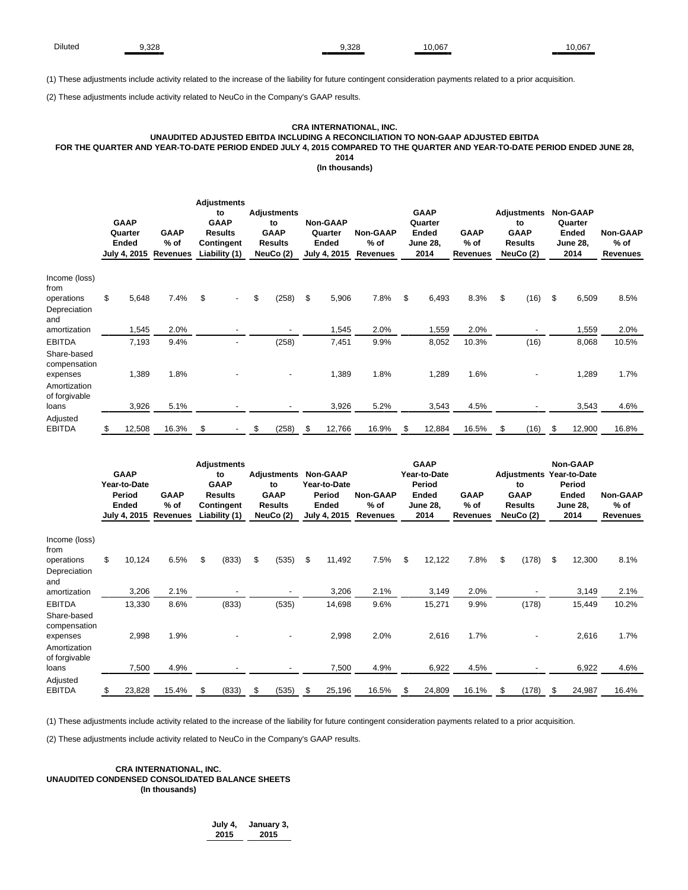(1) These adjustments include activity related to the increase of the liability for future contingent consideration payments related to a prior acquisition.

(2) These adjustments include activity related to NeuCo in the Company's GAAP results.

### **CRA INTERNATIONAL, INC. UNAUDITED ADJUSTED EBITDA INCLUDING A RECONCILIATION TO NON-GAAP ADJUSTED EBITDA FOR THE QUARTER AND YEAR-TO-DATE PERIOD ENDED JULY 4, 2015 COMPARED TO THE QUARTER AND YEAR-TO-DATE PERIOD ENDED JUNE 28, 2014**

**(In thousands)**

|                                                          | <b>GAAP</b><br>Quarter<br>Ended<br>July 4, 2015 | <b>GAAP</b><br>$%$ of<br>Revenues | <b>Adjustments</b><br>to<br><b>GAAP</b><br><b>Results</b><br>Contingent<br>Liability (1) | <b>Adjustments</b><br>to<br><b>GAAP</b><br><b>Results</b><br>NeuCo (2) | <b>Non-GAAP</b><br>Quarter<br>Ended<br>July 4, 2015 | <b>Non-GAAP</b><br>$%$ of<br>Revenues | <b>GAAP</b><br>Quarter<br>Ended<br><b>June 28,</b><br>2014 | <b>GAAP</b><br>$%$ of<br>Revenues | <b>Adjustments</b><br>to<br><b>GAAP</b><br><b>Results</b><br>NeuCo (2) | <b>Non-GAAP</b><br>Quarter<br>Ended<br><b>June 28,</b><br>2014 | <b>Non-GAAP</b><br>$%$ of<br>Revenues |
|----------------------------------------------------------|-------------------------------------------------|-----------------------------------|------------------------------------------------------------------------------------------|------------------------------------------------------------------------|-----------------------------------------------------|---------------------------------------|------------------------------------------------------------|-----------------------------------|------------------------------------------------------------------------|----------------------------------------------------------------|---------------------------------------|
| Income (loss)<br>from<br>operations<br>Depreciation      | \$<br>5,648                                     | 7.4%                              | \$<br>$\overline{\phantom{a}}$                                                           | \$<br>(258)                                                            | \$<br>5,906                                         | 7.8%                                  | \$<br>6,493                                                | 8.3%                              | \$<br>(16)                                                             | \$<br>6,509                                                    | 8.5%                                  |
| and<br>amortization                                      | 1,545                                           | 2.0%                              |                                                                                          |                                                                        | 1,545                                               | 2.0%                                  | 1,559                                                      | 2.0%                              |                                                                        | 1,559                                                          | 2.0%                                  |
| <b>EBITDA</b><br>Share-based<br>compensation<br>expenses | 7,193<br>1,389                                  | 9.4%<br>1.8%                      |                                                                                          | (258)                                                                  | 7,451<br>1,389                                      | 9.9%<br>1.8%                          | 8,052<br>1,289                                             | 10.3%<br>1.6%                     | (16)                                                                   | 8,068<br>1,289                                                 | 10.5%<br>1.7%                         |
| Amortization<br>of forgivable<br>loans<br>Adjusted       | 3,926                                           | 5.1%                              |                                                                                          |                                                                        | 3,926                                               | 5.2%                                  | 3,543                                                      | 4.5%                              |                                                                        | 3,543                                                          | 4.6%                                  |
| <b>EBITDA</b>                                            | \$<br>12,508                                    | 16.3%                             | \$                                                                                       | \$<br>(258)                                                            | \$<br>12,766                                        | 16.9%                                 | \$<br>12,884                                               | 16.5%                             | \$<br>(16)                                                             | \$<br>12,900                                                   | 16.8%                                 |

|                                         | <b>GAAP</b><br>Year-to-Date<br>Period<br><b>Ended</b><br>July 4, 2015 | <b>GAAP</b><br>$%$ of<br>Revenues | <b>Adjustments</b><br>to<br><b>GAAP</b><br><b>Results</b><br>Contingent<br>Liability (1) | <b>Adjustments</b><br>to<br><b>GAAP</b><br><b>Results</b><br>NeuCo (2) |     | <b>Non-GAAP</b><br>Year-to-Date<br>Period<br>Ended<br>July 4, 2015 | <b>Non-GAAP</b><br>$%$ of<br>Revenues | <b>GAAP</b><br>Year-to-Date<br>Period<br>Ended<br><b>June 28,</b><br>2014 | <b>GAAP</b><br>$%$ of<br><b>Revenues</b> | Adjustments<br>to<br><b>GAAP</b><br><b>Results</b><br>NeuCo (2) | Non-GAAP<br>Year-to-Date<br>Period<br><b>Ended</b><br><b>June 28,</b><br>2014 | Non-GAAP<br>$%$ of<br><b>Revenues</b> |
|-----------------------------------------|-----------------------------------------------------------------------|-----------------------------------|------------------------------------------------------------------------------------------|------------------------------------------------------------------------|-----|--------------------------------------------------------------------|---------------------------------------|---------------------------------------------------------------------------|------------------------------------------|-----------------------------------------------------------------|-------------------------------------------------------------------------------|---------------------------------------|
| Income (loss)<br>from                   |                                                                       |                                   |                                                                                          |                                                                        |     |                                                                    |                                       |                                                                           |                                          |                                                                 |                                                                               |                                       |
| operations                              | \$<br>10,124                                                          | 6.5%                              | \$<br>(833)                                                                              | \$<br>(535)                                                            | -\$ | 11,492                                                             | 7.5%                                  | \$<br>12,122                                                              | 7.8%                                     | \$<br>(178)                                                     | \$<br>12,300                                                                  | 8.1%                                  |
| Depreciation<br>and                     |                                                                       |                                   |                                                                                          |                                                                        |     |                                                                    |                                       |                                                                           |                                          |                                                                 |                                                                               |                                       |
| amortization                            | 3,206                                                                 | 2.1%                              |                                                                                          |                                                                        |     | 3,206                                                              | 2.1%                                  | 3,149                                                                     | 2.0%                                     |                                                                 | 3,149                                                                         | 2.1%                                  |
| <b>EBITDA</b>                           | 13,330                                                                | 8.6%                              | (833)                                                                                    | (535)                                                                  |     | 14,698                                                             | 9.6%                                  | 15,271                                                                    | 9.9%                                     | (178)                                                           | 15,449                                                                        | 10.2%                                 |
| Share-based<br>compensation<br>expenses | 2,998                                                                 | 1.9%                              |                                                                                          |                                                                        |     | 2,998                                                              | 2.0%                                  | 2,616                                                                     | 1.7%                                     |                                                                 | 2,616                                                                         | 1.7%                                  |
| Amortization<br>of forgivable<br>loans  | 7,500                                                                 | 4.9%                              |                                                                                          |                                                                        |     | 7,500                                                              | 4.9%                                  | 6,922                                                                     | 4.5%                                     |                                                                 | 6,922                                                                         | 4.6%                                  |
| Adjusted<br><b>EBITDA</b>               | \$<br>23,828                                                          | 15.4%                             | \$<br>(833)                                                                              | \$<br>(535)                                                            | \$  | 25,196                                                             | 16.5%                                 | \$<br>24,809                                                              | 16.1%                                    | \$<br>(178)                                                     | \$<br>24,987                                                                  | 16.4%                                 |

(1) These adjustments include activity related to the increase of the liability for future contingent consideration payments related to a prior acquisition.

(2) These adjustments include activity related to NeuCo in the Company's GAAP results.

# **CRA INTERNATIONAL, INC. UNAUDITED CONDENSED CONSOLIDATED BALANCE SHEETS (In thousands)**

**July 4, January 3, 2015 2015**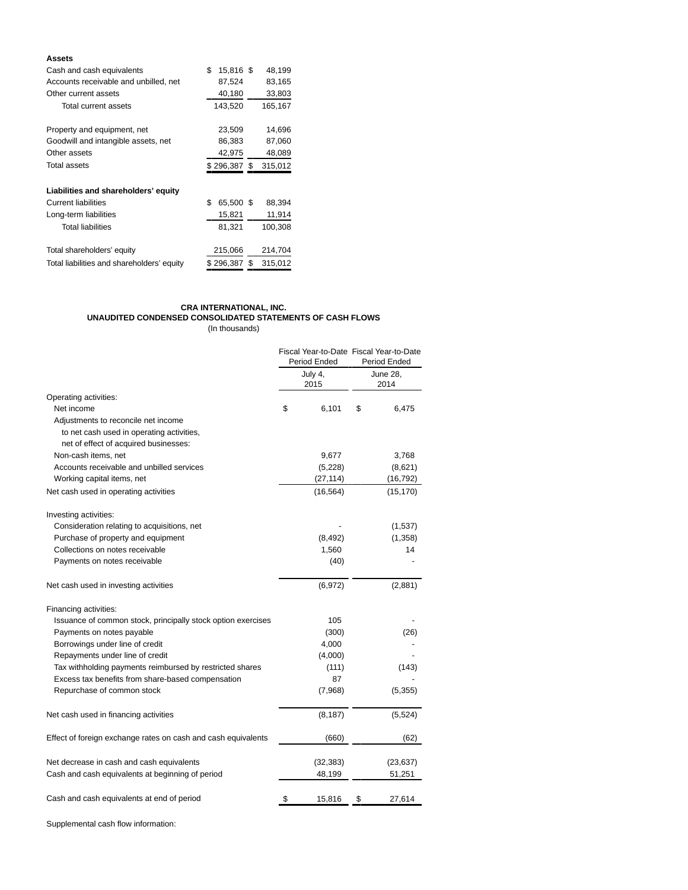# **Assets**

| Cash and cash equivalents                  | \$<br>15,816 \$ | 48,199        |
|--------------------------------------------|-----------------|---------------|
| Accounts receivable and unbilled, net      | 87,524          | 83,165        |
| Other current assets                       | 40,180          | 33,803        |
| Total current assets                       | 143,520         | 165,167       |
| Property and equipment, net                | 23,509          | 14,696        |
| Goodwill and intangible assets, net        | 86,383          | 87,060        |
| Other assets                               | 42,975          | 48,089        |
| Total assets                               | $$296,387$ \$   | 315,012       |
| Liabilities and shareholders' equity       |                 |               |
| <b>Current liabilities</b>                 | \$<br>65,500 \$ | 88,394        |
| Long-term liabilities                      | 15,821          | 11,914        |
| <b>Total liabilities</b>                   | 81,321          | 100,308       |
| Total shareholders' equity                 | 215,066         | 214,704       |
| Total liabilities and shareholders' equity | \$296.387       | \$<br>315,012 |

# **CRA INTERNATIONAL, INC. UNAUDITED CONDENSED CONSOLIDATED STATEMENTS OF CASH FLOWS**

(In thousands)

|                                                               | Period Ended    | Fiscal Year-to-Date Fiscal Year-to-Date<br><b>Period Ended</b> |           |  |  |
|---------------------------------------------------------------|-----------------|----------------------------------------------------------------|-----------|--|--|
|                                                               | July 4,<br>2015 | <b>June 28,</b><br>2014                                        |           |  |  |
| Operating activities:                                         |                 |                                                                |           |  |  |
| Net income                                                    | \$<br>6,101     | \$                                                             | 6,475     |  |  |
| Adjustments to reconcile net income                           |                 |                                                                |           |  |  |
| to net cash used in operating activities,                     |                 |                                                                |           |  |  |
| net of effect of acquired businesses:                         |                 |                                                                |           |  |  |
| Non-cash items, net                                           | 9,677           |                                                                | 3,768     |  |  |
| Accounts receivable and unbilled services                     | (5,228)         |                                                                | (8,621)   |  |  |
| Working capital items, net                                    | (27, 114)       |                                                                | (16, 792) |  |  |
| Net cash used in operating activities                         | (16, 564)       |                                                                | (15, 170) |  |  |
| Investing activities:                                         |                 |                                                                |           |  |  |
| Consideration relating to acquisitions, net                   |                 |                                                                | (1,537)   |  |  |
| Purchase of property and equipment                            | (8, 492)        |                                                                | (1,358)   |  |  |
| Collections on notes receivable                               | 1,560           |                                                                | 14        |  |  |
| Payments on notes receivable                                  | (40)            |                                                                |           |  |  |
| Net cash used in investing activities                         | (6,972)         |                                                                | (2,881)   |  |  |
| Financing activities:                                         |                 |                                                                |           |  |  |
| Issuance of common stock, principally stock option exercises  | 105             |                                                                |           |  |  |
| Payments on notes payable                                     | (300)           |                                                                | (26)      |  |  |
| Borrowings under line of credit                               | 4,000           |                                                                |           |  |  |
| Repayments under line of credit                               | (4,000)         |                                                                |           |  |  |
| Tax withholding payments reimbursed by restricted shares      | (111)           |                                                                | (143)     |  |  |
| Excess tax benefits from share-based compensation             | 87              |                                                                |           |  |  |
| Repurchase of common stock                                    | (7,968)         |                                                                | (5, 355)  |  |  |
| Net cash used in financing activities                         | (8, 187)        |                                                                | (5, 524)  |  |  |
| Effect of foreign exchange rates on cash and cash equivalents | (660)           |                                                                | (62)      |  |  |
| Net decrease in cash and cash equivalents                     | (32, 383)       |                                                                | (23, 637) |  |  |
| Cash and cash equivalents at beginning of period              | 48,199          |                                                                | 51,251    |  |  |
| Cash and cash equivalents at end of period                    | \$<br>15,816    | \$                                                             | 27,614    |  |  |

Supplemental cash flow information: